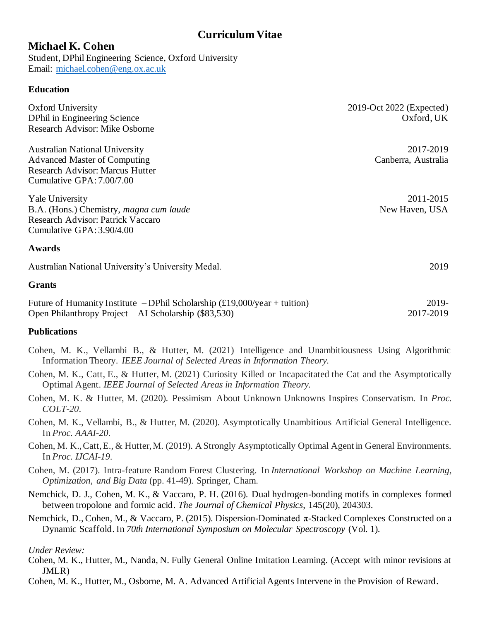# **Curriculum Vitae**

# **Michael K. Cohen**

Student, DPhil Engineering Science, Oxford University Email: michael.cohen@eng.ox.ac.uk

# **Education**

| Oxford University<br>DPhil in Engineering Science                                                           | 2019-Oct 2022 (Expected)<br>Oxford, UK |
|-------------------------------------------------------------------------------------------------------------|----------------------------------------|
| <b>Research Advisor: Mike Osborne</b>                                                                       |                                        |
| <b>Australian National University</b>                                                                       | 2017-2019                              |
| <b>Advanced Master of Computing</b>                                                                         | Canberra, Australia                    |
| Research Advisor: Marcus Hutter                                                                             |                                        |
| Cumulative GPA: 7.00/7.00                                                                                   |                                        |
| <b>Yale University</b>                                                                                      | 2011-2015                              |
| B.A. (Hons.) Chemistry, magna cum laude                                                                     | New Haven, USA                         |
| Research Advisor: Patrick Vaccaro                                                                           |                                        |
| Cumulative GPA: 3.90/4.00                                                                                   |                                        |
| <b>Awards</b>                                                                                               |                                        |
| Australian National University's University Medal.                                                          | 2019                                   |
| <b>Grants</b>                                                                                               |                                        |
| Future of Humanity Institute - DPhil Scholarship $(\text{\textsterling}19,000/\text{year} + \text{tution})$ | 2019-                                  |
| Open Philanthropy Project – AI Scholarship $(\$83,530)$                                                     | 2017-2019                              |

# **Publications**

- Cohen, M. K., Vellambi B., & Hutter, M. (2021) Intelligence and Unambitiousness Using Algorithmic Information Theory. *IEEE Journal of Selected Areas in Information Theory.*
- Cohen, M. K., Catt, E., & Hutter, M. (2021) Curiosity Killed or Incapacitated the Cat and the Asymptotically Optimal Agent. *IEEE Journal of Selected Areas in Information Theory.*
- Cohen, M. K. & Hutter, M. (2020). Pessimism About Unknown Unknowns Inspires Conservatism. In *Proc. COLT-20*.
- Cohen, M. K., Vellambi, B., & Hutter, M. (2020). Asymptotically Unambitious Artificial General Intelligence. In *Proc. AAAI-20*.
- Cohen, M. K., Catt, E., & Hutter, M. (2019). A Strongly Asymptotically Optimal Agent in General Environments. In *Proc. IJCAI-19*.
- Cohen, M. (2017). Intra-feature Random Forest Clustering. In *International Workshop on Machine Learning, Optimization, and Big Data* (pp. 41-49). Springer, Cham.
- Nemchick, D. J., Cohen, M. K., & Vaccaro, P. H. (2016). Dual hydrogen-bonding motifs in complexes formed between tropolone and formic acid. *The Journal of Chemical Physics*, 145(20), 204303.
- Nemchick, D., Cohen, M., & Vaccaro, P. (2015). Dispersion-Dominated π-Stacked Complexes Constructed on a Dynamic Scaffold. In *70th International Symposium on Molecular Spectroscopy* (Vol. 1).

### *Under Review:*

- Cohen, M. K., Hutter, M., Nanda, N. Fully General Online Imitation Learning. (Accept with minor revisions at JMLR)
- Cohen, M. K., Hutter, M., Osborne, M. A. Advanced Artificial Agents Intervene in the Provision of Reward.